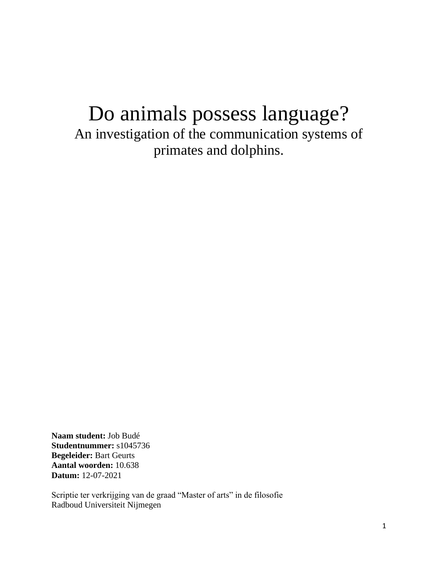# Do animals possess language? An investigation of the communication systems of primates and dolphins.

**Naam student:** Job Budé **Studentnummer:** s1045736 **Begeleider:** Bart Geurts **Aantal woorden:** 10.638 **Datum:** 12-07-2021

Scriptie ter verkrijging van de graad "Master of arts" in de filosofie Radboud Universiteit Nijmegen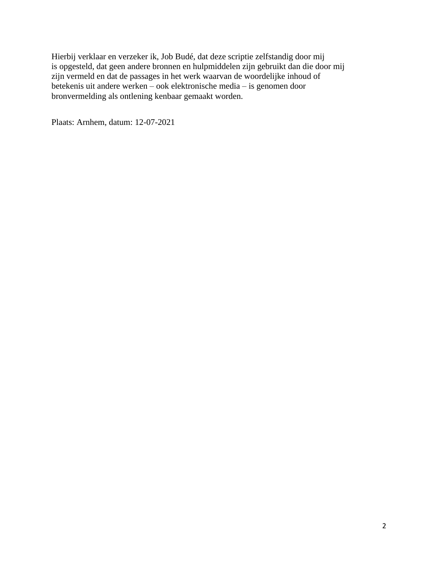Hierbij verklaar en verzeker ik, Job Budé, dat deze scriptie zelfstandig door mij is opgesteld, dat geen andere bronnen en hulpmiddelen zijn gebruikt dan die door mij zijn vermeld en dat de passages in het werk waarvan de woordelijke inhoud of betekenis uit andere werken – ook elektronische media – is genomen door bronvermelding als ontlening kenbaar gemaakt worden.

Plaats: Arnhem, datum: 12-07-2021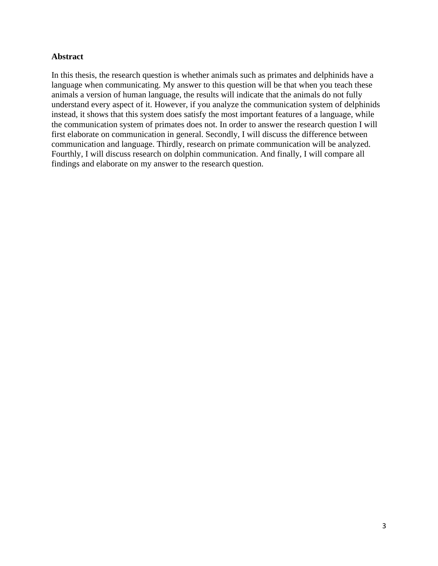# **Abstract**

In this thesis, the research question is whether animals such as primates and delphinids have a language when communicating. My answer to this question will be that when you teach these animals a version of human language, the results will indicate that the animals do not fully understand every aspect of it. However, if you analyze the communication system of delphinids instead, it shows that this system does satisfy the most important features of a language, while the communication system of primates does not. In order to answer the research question I will first elaborate on communication in general. Secondly, I will discuss the difference between communication and language. Thirdly, research on primate communication will be analyzed. Fourthly, I will discuss research on dolphin communication. And finally, I will compare all findings and elaborate on my answer to the research question.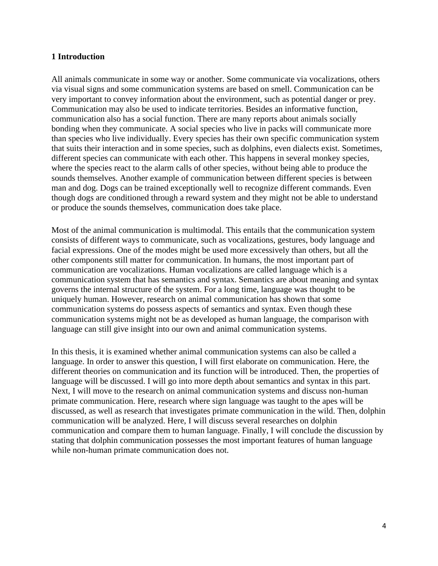### **1 Introduction**

All animals communicate in some way or another. Some communicate via vocalizations, others via visual signs and some communication systems are based on smell. Communication can be very important to convey information about the environment, such as potential danger or prey. Communication may also be used to indicate territories. Besides an informative function, communication also has a social function. There are many reports about animals socially bonding when they communicate. A social species who live in packs will communicate more than species who live individually. Every species has their own specific communication system that suits their interaction and in some species, such as dolphins, even dialects exist. Sometimes, different species can communicate with each other. This happens in several monkey species, where the species react to the alarm calls of other species, without being able to produce the sounds themselves. Another example of communication between different species is between man and dog. Dogs can be trained exceptionally well to recognize different commands. Even though dogs are conditioned through a reward system and they might not be able to understand or produce the sounds themselves, communication does take place.

Most of the animal communication is multimodal. This entails that the communication system consists of different ways to communicate, such as vocalizations, gestures, body language and facial expressions. One of the modes might be used more excessively than others, but all the other components still matter for communication. In humans, the most important part of communication are vocalizations. Human vocalizations are called language which is a communication system that has semantics and syntax. Semantics are about meaning and syntax governs the internal structure of the system. For a long time, language was thought to be uniquely human. However, research on animal communication has shown that some communication systems do possess aspects of semantics and syntax. Even though these communication systems might not be as developed as human language, the comparison with language can still give insight into our own and animal communication systems.

In this thesis, it is examined whether animal communication systems can also be called a language. In order to answer this question, I will first elaborate on communication. Here, the different theories on communication and its function will be introduced. Then, the properties of language will be discussed. I will go into more depth about semantics and syntax in this part. Next, I will move to the research on animal communication systems and discuss non-human primate communication. Here, research where sign language was taught to the apes will be discussed, as well as research that investigates primate communication in the wild. Then, dolphin communication will be analyzed. Here, I will discuss several researches on dolphin communication and compare them to human language. Finally, I will conclude the discussion by stating that dolphin communication possesses the most important features of human language while non-human primate communication does not.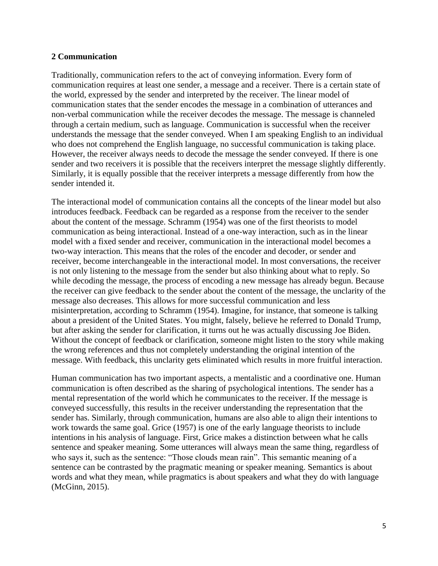### **2 Communication**

Traditionally, communication refers to the act of conveying information. Every form of communication requires at least one sender, a message and a receiver. There is a certain state of the world, expressed by the sender and interpreted by the receiver. The linear model of communication states that the sender encodes the message in a combination of utterances and non-verbal communication while the receiver decodes the message. The message is channeled through a certain medium, such as language. Communication is successful when the receiver understands the message that the sender conveyed. When I am speaking English to an individual who does not comprehend the English language, no successful communication is taking place. However, the receiver always needs to decode the message the sender conveyed. If there is one sender and two receivers it is possible that the receivers interpret the message slightly differently. Similarly, it is equally possible that the receiver interprets a message differently from how the sender intended it.

The interactional model of communication contains all the concepts of the linear model but also introduces feedback. Feedback can be regarded as a response from the receiver to the sender about the content of the message. Schramm (1954) was one of the first theorists to model communication as being interactional. Instead of a one-way interaction, such as in the linear model with a fixed sender and receiver, communication in the interactional model becomes a two-way interaction. This means that the roles of the encoder and decoder, or sender and receiver, become interchangeable in the interactional model. In most conversations, the receiver is not only listening to the message from the sender but also thinking about what to reply. So while decoding the message, the process of encoding a new message has already begun. Because the receiver can give feedback to the sender about the content of the message, the unclarity of the message also decreases. This allows for more successful communication and less misinterpretation, according to Schramm (1954). Imagine, for instance, that someone is talking about a president of the United States. You might, falsely, believe he referred to Donald Trump, but after asking the sender for clarification, it turns out he was actually discussing Joe Biden. Without the concept of feedback or clarification, someone might listen to the story while making the wrong references and thus not completely understanding the original intention of the message. With feedback, this unclarity gets eliminated which results in more fruitful interaction.

Human communication has two important aspects, a mentalistic and a coordinative one. Human communication is often described as the sharing of psychological intentions. The sender has a mental representation of the world which he communicates to the receiver. If the message is conveyed successfully, this results in the receiver understanding the representation that the sender has. Similarly, through communication, humans are also able to align their intentions to work towards the same goal. Grice (1957) is one of the early language theorists to include intentions in his analysis of language. First, Grice makes a distinction between what he calls sentence and speaker meaning. Some utterances will always mean the same thing, regardless of who says it, such as the sentence: "Those clouds mean rain". This semantic meaning of a sentence can be contrasted by the pragmatic meaning or speaker meaning. Semantics is about words and what they mean, while pragmatics is about speakers and what they do with language (McGinn, 2015).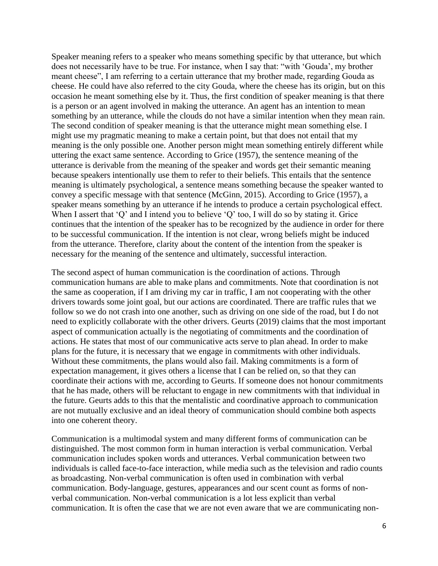Speaker meaning refers to a speaker who means something specific by that utterance, but which does not necessarily have to be true. For instance, when I say that: "with 'Gouda', my brother meant cheese", I am referring to a certain utterance that my brother made, regarding Gouda as cheese. He could have also referred to the city Gouda, where the cheese has its origin, but on this occasion he meant something else by it. Thus, the first condition of speaker meaning is that there is a person or an agent involved in making the utterance. An agent has an intention to mean something by an utterance, while the clouds do not have a similar intention when they mean rain. The second condition of speaker meaning is that the utterance might mean something else. I might use my pragmatic meaning to make a certain point, but that does not entail that my meaning is the only possible one. Another person might mean something entirely different while uttering the exact same sentence. According to Grice (1957), the sentence meaning of the utterance is derivable from the meaning of the speaker and words get their semantic meaning because speakers intentionally use them to refer to their beliefs. This entails that the sentence meaning is ultimately psychological, a sentence means something because the speaker wanted to convey a specific message with that sentence (McGinn, 2015). According to Grice (1957), a speaker means something by an utterance if he intends to produce a certain psychological effect. When I assert that 'Q' and I intend you to believe 'Q' too, I will do so by stating it. Grice continues that the intention of the speaker has to be recognized by the audience in order for there to be successful communication. If the intention is not clear, wrong beliefs might be induced from the utterance. Therefore, clarity about the content of the intention from the speaker is necessary for the meaning of the sentence and ultimately, successful interaction.

The second aspect of human communication is the coordination of actions. Through communication humans are able to make plans and commitments. Note that coordination is not the same as cooperation, if I am driving my car in traffic, I am not cooperating with the other drivers towards some joint goal, but our actions are coordinated. There are traffic rules that we follow so we do not crash into one another, such as driving on one side of the road, but I do not need to explicitly collaborate with the other drivers. Geurts (2019) claims that the most important aspect of communication actually is the negotiating of commitments and the coordination of actions. He states that most of our communicative acts serve to plan ahead. In order to make plans for the future, it is necessary that we engage in commitments with other individuals. Without these commitments, the plans would also fail. Making commitments is a form of expectation management, it gives others a license that I can be relied on, so that they can coordinate their actions with me, according to Geurts. If someone does not honour commitments that he has made, others will be reluctant to engage in new commitments with that individual in the future. Geurts adds to this that the mentalistic and coordinative approach to communication are not mutually exclusive and an ideal theory of communication should combine both aspects into one coherent theory.

Communication is a multimodal system and many different forms of communication can be distinguished. The most common form in human interaction is verbal communication. Verbal communication includes spoken words and utterances. Verbal communication between two individuals is called face-to-face interaction, while media such as the television and radio counts as broadcasting. Non-verbal communication is often used in combination with verbal communication. Body-language, gestures, appearances and our scent count as forms of nonverbal communication. Non-verbal communication is a lot less explicit than verbal communication. It is often the case that we are not even aware that we are communicating non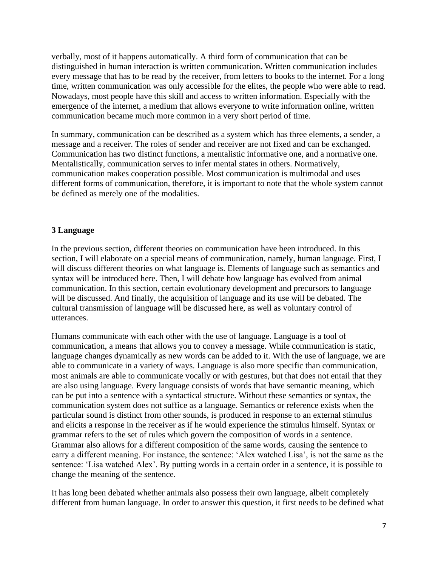verbally, most of it happens automatically. A third form of communication that can be distinguished in human interaction is written communication. Written communication includes every message that has to be read by the receiver, from letters to books to the internet. For a long time, written communication was only accessible for the elites, the people who were able to read. Nowadays, most people have this skill and access to written information. Especially with the emergence of the internet, a medium that allows everyone to write information online, written communication became much more common in a very short period of time.

In summary, communication can be described as a system which has three elements, a sender, a message and a receiver. The roles of sender and receiver are not fixed and can be exchanged. Communication has two distinct functions, a mentalistic informative one, and a normative one. Mentalistically, communication serves to infer mental states in others. Normatively, communication makes cooperation possible. Most communication is multimodal and uses different forms of communication, therefore, it is important to note that the whole system cannot be defined as merely one of the modalities.

# **3 Language**

In the previous section, different theories on communication have been introduced. In this section, I will elaborate on a special means of communication, namely, human language. First, I will discuss different theories on what language is. Elements of language such as semantics and syntax will be introduced here. Then, I will debate how language has evolved from animal communication. In this section, certain evolutionary development and precursors to language will be discussed. And finally, the acquisition of language and its use will be debated. The cultural transmission of language will be discussed here, as well as voluntary control of utterances.

Humans communicate with each other with the use of language. Language is a tool of communication, a means that allows you to convey a message. While communication is static, language changes dynamically as new words can be added to it. With the use of language, we are able to communicate in a variety of ways. Language is also more specific than communication, most animals are able to communicate vocally or with gestures, but that does not entail that they are also using language. Every language consists of words that have semantic meaning, which can be put into a sentence with a syntactical structure. Without these semantics or syntax, the communication system does not suffice as a language. Semantics or reference exists when the particular sound is distinct from other sounds, is produced in response to an external stimulus and elicits a response in the receiver as if he would experience the stimulus himself. Syntax or grammar refers to the set of rules which govern the composition of words in a sentence. Grammar also allows for a different composition of the same words, causing the sentence to carry a different meaning. For instance, the sentence: 'Alex watched Lisa', is not the same as the sentence: 'Lisa watched Alex'. By putting words in a certain order in a sentence, it is possible to change the meaning of the sentence.

It has long been debated whether animals also possess their own language, albeit completely different from human language. In order to answer this question, it first needs to be defined what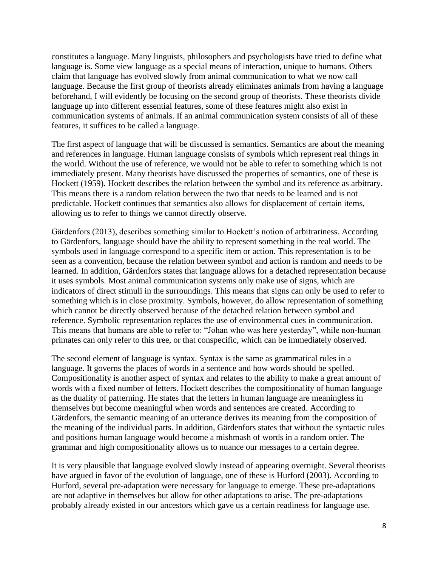constitutes a language. Many linguists, philosophers and psychologists have tried to define what language is. Some view language as a special means of interaction, unique to humans. Others claim that language has evolved slowly from animal communication to what we now call language. Because the first group of theorists already eliminates animals from having a language beforehand, I will evidently be focusing on the second group of theorists. These theorists divide language up into different essential features, some of these features might also exist in communication systems of animals. If an animal communication system consists of all of these features, it suffices to be called a language.

The first aspect of language that will be discussed is semantics. Semantics are about the meaning and references in language. Human language consists of symbols which represent real things in the world. Without the use of reference, we would not be able to refer to something which is not immediately present. Many theorists have discussed the properties of semantics, one of these is Hockett (1959). Hockett describes the relation between the symbol and its reference as arbitrary. This means there is a random relation between the two that needs to be learned and is not predictable. Hockett continues that semantics also allows for displacement of certain items, allowing us to refer to things we cannot directly observe.

Gärdenfors (2013), describes something similar to Hockett's notion of arbitrariness. According to Gärdenfors, language should have the ability to represent something in the real world. The symbols used in language correspond to a specific item or action. This representation is to be seen as a convention, because the relation between symbol and action is random and needs to be learned. In addition, Gärdenfors states that language allows for a detached representation because it uses symbols. Most animal communication systems only make use of signs, which are indicators of direct stimuli in the surroundings. This means that signs can only be used to refer to something which is in close proximity. Symbols, however, do allow representation of something which cannot be directly observed because of the detached relation between symbol and reference. Symbolic representation replaces the use of environmental cues in communication. This means that humans are able to refer to: "Johan who was here yesterday", while non-human primates can only refer to this tree, or that conspecific, which can be immediately observed.

The second element of language is syntax. Syntax is the same as grammatical rules in a language. It governs the places of words in a sentence and how words should be spelled. Compositionality is another aspect of syntax and relates to the ability to make a great amount of words with a fixed number of letters. Hockett describes the compositionality of human language as the duality of patterning. He states that the letters in human language are meaningless in themselves but become meaningful when words and sentences are created. According to Gärdenfors, the semantic meaning of an utterance derives its meaning from the composition of the meaning of the individual parts. In addition, Gärdenfors states that without the syntactic rules and positions human language would become a mishmash of words in a random order. The grammar and high compositionality allows us to nuance our messages to a certain degree.

It is very plausible that language evolved slowly instead of appearing overnight. Several theorists have argued in favor of the evolution of language, one of these is Hurford (2003). According to Hurford, several pre-adaptation were necessary for language to emerge. These pre-adaptations are not adaptive in themselves but allow for other adaptations to arise. The pre-adaptations probably already existed in our ancestors which gave us a certain readiness for language use.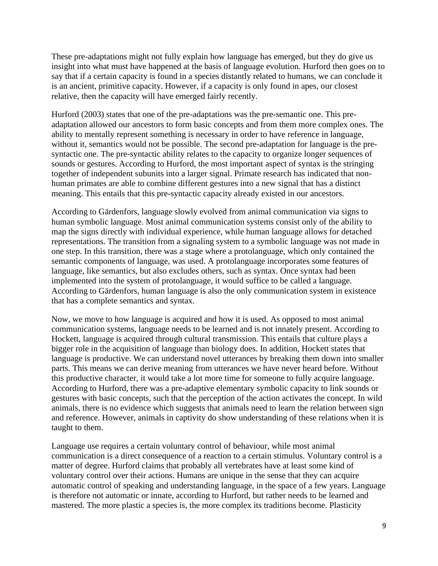These pre-adaptations might not fully explain how language has emerged, but they do give us insight into what must have happened at the basis of language evolution. Hurford then goes on to say that if a certain capacity is found in a species distantly related to humans, we can conclude it is an ancient, primitive capacity. However, if a capacity is only found in apes, our closest relative, then the capacity will have emerged fairly recently.

Hurford (2003) states that one of the pre-adaptations was the pre-semantic one. This preadaptation allowed our ancestors to form basic concepts and from them more complex ones. The ability to mentally represent something is necessary in order to have reference in language, without it, semantics would not be possible. The second pre-adaptation for language is the presyntactic one. The pre-syntactic ability relates to the capacity to organize longer sequences of sounds or gestures. According to Hurford, the most important aspect of syntax is the stringing together of independent subunits into a larger signal. Primate research has indicated that nonhuman primates are able to combine different gestures into a new signal that has a distinct meaning. This entails that this pre-syntactic capacity already existed in our ancestors.

According to Gärdenfors, language slowly evolved from animal communication via signs to human symbolic language. Most animal communication systems consist only of the ability to map the signs directly with individual experience, while human language allows for detached representations. The transition from a signaling system to a symbolic language was not made in one step. In this transition, there was a stage where a protolanguage, which only contained the semantic components of language, was used. A protolanguage incorporates some features of language, like semantics, but also excludes others, such as syntax. Once syntax had been implemented into the system of protolanguage, it would suffice to be called a language. According to Gärdenfors, human language is also the only communication system in existence that has a complete semantics and syntax.

Now, we move to how language is acquired and how it is used. As opposed to most animal communication systems, language needs to be learned and is not innately present. According to Hockett, language is acquired through cultural transmission. This entails that culture plays a bigger role in the acquisition of language than biology does. In addition, Hockett states that language is productive. We can understand novel utterances by breaking them down into smaller parts. This means we can derive meaning from utterances we have never heard before. Without this productive character, it would take a lot more time for someone to fully acquire language. According to Hurford, there was a pre-adaptive elementary symbolic capacity to link sounds or gestures with basic concepts, such that the perception of the action activates the concept. In wild animals, there is no evidence which suggests that animals need to learn the relation between sign and reference. However, animals in captivity do show understanding of these relations when it is taught to them.

Language use requires a certain voluntary control of behaviour, while most animal communication is a direct consequence of a reaction to a certain stimulus. Voluntary control is a matter of degree. Hurford claims that probably all vertebrates have at least some kind of voluntary control over their actions. Humans are unique in the sense that they can acquire automatic control of speaking and understanding language, in the space of a few years. Language is therefore not automatic or innate, according to Hurford, but rather needs to be learned and mastered. The more plastic a species is, the more complex its traditions become. Plasticity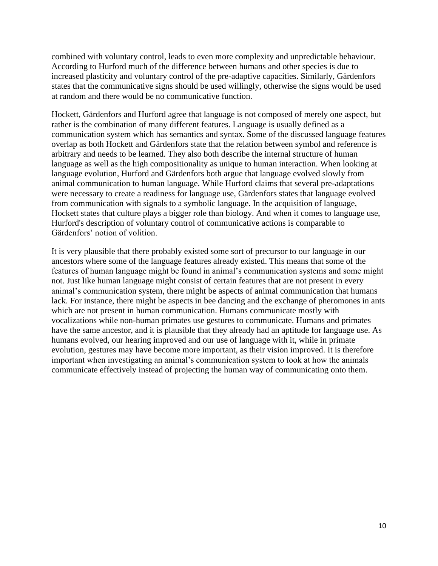combined with voluntary control, leads to even more complexity and unpredictable behaviour. According to Hurford much of the difference between humans and other species is due to increased plasticity and voluntary control of the pre-adaptive capacities. Similarly, Gärdenfors states that the communicative signs should be used willingly, otherwise the signs would be used at random and there would be no communicative function.

Hockett, Gärdenfors and Hurford agree that language is not composed of merely one aspect, but rather is the combination of many different features. Language is usually defined as a communication system which has semantics and syntax. Some of the discussed language features overlap as both Hockett and Gärdenfors state that the relation between symbol and reference is arbitrary and needs to be learned. They also both describe the internal structure of human language as well as the high compositionality as unique to human interaction. When looking at language evolution, Hurford and Gärdenfors both argue that language evolved slowly from animal communication to human language. While Hurford claims that several pre-adaptations were necessary to create a readiness for language use, Gärdenfors states that language evolved from communication with signals to a symbolic language. In the acquisition of language, Hockett states that culture plays a bigger role than biology. And when it comes to language use, Hurford's description of voluntary control of communicative actions is comparable to Gärdenfors' notion of volition.

It is very plausible that there probably existed some sort of precursor to our language in our ancestors where some of the language features already existed. This means that some of the features of human language might be found in animal's communication systems and some might not. Just like human language might consist of certain features that are not present in every animal's communication system, there might be aspects of animal communication that humans lack. For instance, there might be aspects in bee dancing and the exchange of pheromones in ants which are not present in human communication. Humans communicate mostly with vocalizations while non-human primates use gestures to communicate. Humans and primates have the same ancestor, and it is plausible that they already had an aptitude for language use. As humans evolved, our hearing improved and our use of language with it, while in primate evolution, gestures may have become more important, as their vision improved. It is therefore important when investigating an animal's communication system to look at how the animals communicate effectively instead of projecting the human way of communicating onto them.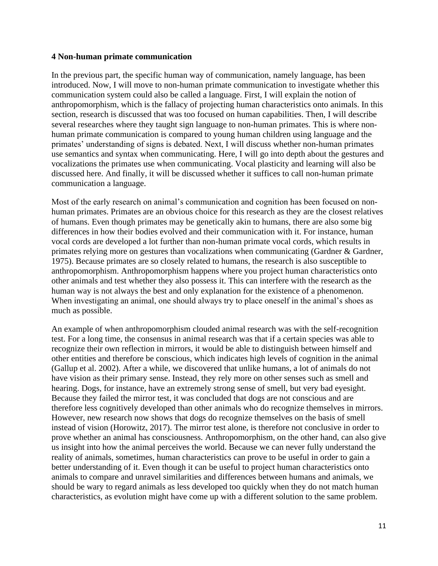#### **4 Non-human primate communication**

In the previous part, the specific human way of communication, namely language, has been introduced. Now, I will move to non-human primate communication to investigate whether this communication system could also be called a language. First, I will explain the notion of anthropomorphism, which is the fallacy of projecting human characteristics onto animals. In this section, research is discussed that was too focused on human capabilities. Then, I will describe several researches where they taught sign language to non-human primates. This is where nonhuman primate communication is compared to young human children using language and the primates' understanding of signs is debated. Next, I will discuss whether non-human primates use semantics and syntax when communicating. Here, I will go into depth about the gestures and vocalizations the primates use when communicating. Vocal plasticity and learning will also be discussed here. And finally, it will be discussed whether it suffices to call non-human primate communication a language.

Most of the early research on animal's communication and cognition has been focused on nonhuman primates. Primates are an obvious choice for this research as they are the closest relatives of humans. Even though primates may be genetically akin to humans, there are also some big differences in how their bodies evolved and their communication with it. For instance, human vocal cords are developed a lot further than non-human primate vocal cords, which results in primates relying more on gestures than vocalizations when communicating (Gardner & Gardner, 1975). Because primates are so closely related to humans, the research is also susceptible to anthropomorphism. Anthropomorphism happens where you project human characteristics onto other animals and test whether they also possess it. This can interfere with the research as the human way is not always the best and only explanation for the existence of a phenomenon. When investigating an animal, one should always try to place oneself in the animal's shoes as much as possible.

An example of when anthropomorphism clouded animal research was with the self-recognition test. For a long time, the consensus in animal research was that if a certain species was able to recognize their own reflection in mirrors, it would be able to distinguish between himself and other entities and therefore be conscious, which indicates high levels of cognition in the animal (Gallup et al. 2002). After a while, we discovered that unlike humans, a lot of animals do not have vision as their primary sense. Instead, they rely more on other senses such as smell and hearing. Dogs, for instance, have an extremely strong sense of smell, but very bad eyesight. Because they failed the mirror test, it was concluded that dogs are not conscious and are therefore less cognitively developed than other animals who do recognize themselves in mirrors. However, new research now shows that dogs do recognize themselves on the basis of smell instead of vision (Horowitz, 2017). The mirror test alone, is therefore not conclusive in order to prove whether an animal has consciousness. Anthropomorphism, on the other hand, can also give us insight into how the animal perceives the world. Because we can never fully understand the reality of animals, sometimes, human characteristics can prove to be useful in order to gain a better understanding of it. Even though it can be useful to project human characteristics onto animals to compare and unravel similarities and differences between humans and animals, we should be wary to regard animals as less developed too quickly when they do not match human characteristics, as evolution might have come up with a different solution to the same problem.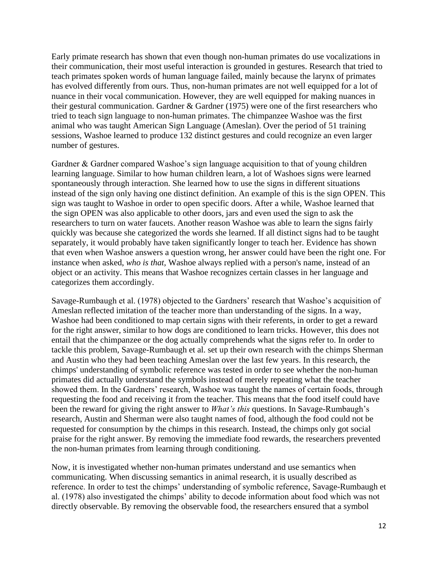Early primate research has shown that even though non-human primates do use vocalizations in their communication, their most useful interaction is grounded in gestures. Research that tried to teach primates spoken words of human language failed, mainly because the larynx of primates has evolved differently from ours. Thus, non-human primates are not well equipped for a lot of nuance in their vocal communication. However, they are well equipped for making nuances in their gestural communication. Gardner & Gardner (1975) were one of the first researchers who tried to teach sign language to non-human primates. The chimpanzee Washoe was the first animal who was taught American Sign Language (Ameslan). Over the period of 51 training sessions, Washoe learned to produce 132 distinct gestures and could recognize an even larger number of gestures.

Gardner & Gardner compared Washoe's sign language acquisition to that of young children learning language. Similar to how human children learn, a lot of Washoes signs were learned spontaneously through interaction. She learned how to use the signs in different situations instead of the sign only having one distinct definition. An example of this is the sign OPEN. This sign was taught to Washoe in order to open specific doors. After a while, Washoe learned that the sign OPEN was also applicable to other doors, jars and even used the sign to ask the researchers to turn on water faucets. Another reason Washoe was able to learn the signs fairly quickly was because she categorized the words she learned. If all distinct signs had to be taught separately, it would probably have taken significantly longer to teach her. Evidence has shown that even when Washoe answers a question wrong, her answer could have been the right one. For instance when asked, *who is that,* Washoe always replied with a person's name, instead of an object or an activity. This means that Washoe recognizes certain classes in her language and categorizes them accordingly.

Savage-Rumbaugh et al. (1978) objected to the Gardners' research that Washoe's acquisition of Ameslan reflected imitation of the teacher more than understanding of the signs. In a way, Washoe had been conditioned to map certain signs with their referents, in order to get a reward for the right answer, similar to how dogs are conditioned to learn tricks. However, this does not entail that the chimpanzee or the dog actually comprehends what the signs refer to. In order to tackle this problem, Savage-Rumbaugh et al. set up their own research with the chimps Sherman and Austin who they had been teaching Ameslan over the last few years. In this research, the chimps' understanding of symbolic reference was tested in order to see whether the non-human primates did actually understand the symbols instead of merely repeating what the teacher showed them. In the Gardners' research, Washoe was taught the names of certain foods, through requesting the food and receiving it from the teacher. This means that the food itself could have been the reward for giving the right answer to *What's this* questions. In Savage-Rumbaugh's research, Austin and Sherman were also taught names of food, although the food could not be requested for consumption by the chimps in this research. Instead, the chimps only got social praise for the right answer. By removing the immediate food rewards, the researchers prevented the non-human primates from learning through conditioning.

Now, it is investigated whether non-human primates understand and use semantics when communicating. When discussing semantics in animal research, it is usually described as reference. In order to test the chimps' understanding of symbolic reference, Savage-Rumbaugh et al. (1978) also investigated the chimps' ability to decode information about food which was not directly observable. By removing the observable food, the researchers ensured that a symbol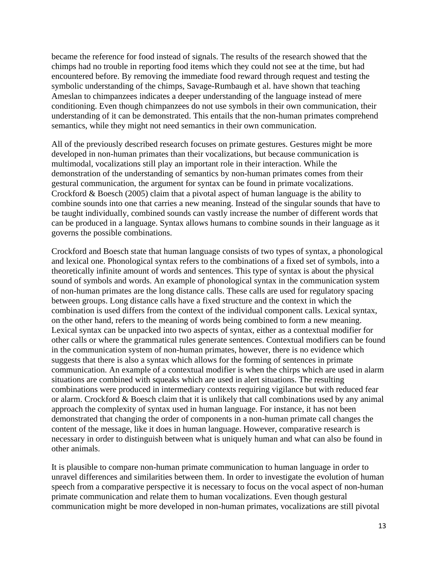became the reference for food instead of signals. The results of the research showed that the chimps had no trouble in reporting food items which they could not see at the time, but had encountered before. By removing the immediate food reward through request and testing the symbolic understanding of the chimps, Savage-Rumbaugh et al. have shown that teaching Ameslan to chimpanzees indicates a deeper understanding of the language instead of mere conditioning. Even though chimpanzees do not use symbols in their own communication, their understanding of it can be demonstrated. This entails that the non-human primates comprehend semantics, while they might not need semantics in their own communication.

All of the previously described research focuses on primate gestures. Gestures might be more developed in non-human primates than their vocalizations, but because communication is multimodal, vocalizations still play an important role in their interaction. While the demonstration of the understanding of semantics by non-human primates comes from their gestural communication, the argument for syntax can be found in primate vocalizations. Crockford & Boesch (2005) claim that a pivotal aspect of human language is the ability to combine sounds into one that carries a new meaning. Instead of the singular sounds that have to be taught individually, combined sounds can vastly increase the number of different words that can be produced in a language. Syntax allows humans to combine sounds in their language as it governs the possible combinations.

Crockford and Boesch state that human language consists of two types of syntax, a phonological and lexical one. Phonological syntax refers to the combinations of a fixed set of symbols, into a theoretically infinite amount of words and sentences. This type of syntax is about the physical sound of symbols and words. An example of phonological syntax in the communication system of non-human primates are the long distance calls. These calls are used for regulatory spacing between groups. Long distance calls have a fixed structure and the context in which the combination is used differs from the context of the individual component calls. Lexical syntax, on the other hand, refers to the meaning of words being combined to form a new meaning. Lexical syntax can be unpacked into two aspects of syntax, either as a contextual modifier for other calls or where the grammatical rules generate sentences. Contextual modifiers can be found in the communication system of non-human primates, however, there is no evidence which suggests that there is also a syntax which allows for the forming of sentences in primate communication. An example of a contextual modifier is when the chirps which are used in alarm situations are combined with squeaks which are used in alert situations. The resulting combinations were produced in intermediary contexts requiring vigilance but with reduced fear or alarm. Crockford & Boesch claim that it is unlikely that call combinations used by any animal approach the complexity of syntax used in human language. For instance, it has not been demonstrated that changing the order of components in a non-human primate call changes the content of the message, like it does in human language. However, comparative research is necessary in order to distinguish between what is uniquely human and what can also be found in other animals.

It is plausible to compare non-human primate communication to human language in order to unravel differences and similarities between them. In order to investigate the evolution of human speech from a comparative perspective it is necessary to focus on the vocal aspect of non-human primate communication and relate them to human vocalizations. Even though gestural communication might be more developed in non-human primates, vocalizations are still pivotal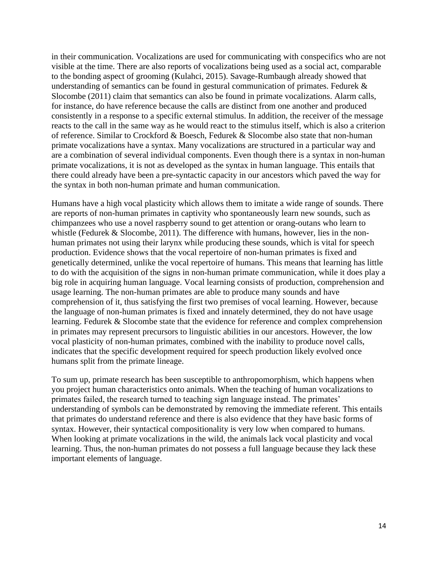in their communication. Vocalizations are used for communicating with conspecifics who are not visible at the time. There are also reports of vocalizations being used as a social act, comparable to the bonding aspect of grooming (Kulahci, 2015). Savage-Rumbaugh already showed that understanding of semantics can be found in gestural communication of primates. Fedurek & Slocombe (2011) claim that semantics can also be found in primate vocalizations. Alarm calls, for instance, do have reference because the calls are distinct from one another and produced consistently in a response to a specific external stimulus. In addition, the receiver of the message reacts to the call in the same way as he would react to the stimulus itself, which is also a criterion of reference. Similar to Crockford & Boesch, Fedurek & Slocombe also state that non-human primate vocalizations have a syntax. Many vocalizations are structured in a particular way and are a combination of several individual components. Even though there is a syntax in non-human primate vocalizations, it is not as developed as the syntax in human language. This entails that there could already have been a pre-syntactic capacity in our ancestors which paved the way for the syntax in both non-human primate and human communication.

Humans have a high vocal plasticity which allows them to imitate a wide range of sounds. There are reports of non-human primates in captivity who spontaneously learn new sounds, such as chimpanzees who use a novel raspberry sound to get attention or orang-outans who learn to whistle (Fedurek & Slocombe, 2011). The difference with humans, however, lies in the nonhuman primates not using their larynx while producing these sounds, which is vital for speech production. Evidence shows that the vocal repertoire of non-human primates is fixed and genetically determined, unlike the vocal repertoire of humans. This means that learning has little to do with the acquisition of the signs in non-human primate communication, while it does play a big role in acquiring human language. Vocal learning consists of production, comprehension and usage learning. The non-human primates are able to produce many sounds and have comprehension of it, thus satisfying the first two premises of vocal learning. However, because the language of non-human primates is fixed and innately determined, they do not have usage learning. Fedurek & Slocombe state that the evidence for reference and complex comprehension in primates may represent precursors to linguistic abilities in our ancestors. However, the low vocal plasticity of non-human primates, combined with the inability to produce novel calls, indicates that the specific development required for speech production likely evolved once humans split from the primate lineage.

To sum up, primate research has been susceptible to anthropomorphism, which happens when you project human characteristics onto animals. When the teaching of human vocalizations to primates failed, the research turned to teaching sign language instead. The primates' understanding of symbols can be demonstrated by removing the immediate referent. This entails that primates do understand reference and there is also evidence that they have basic forms of syntax. However, their syntactical compositionality is very low when compared to humans. When looking at primate vocalizations in the wild, the animals lack vocal plasticity and vocal learning. Thus, the non-human primates do not possess a full language because they lack these important elements of language.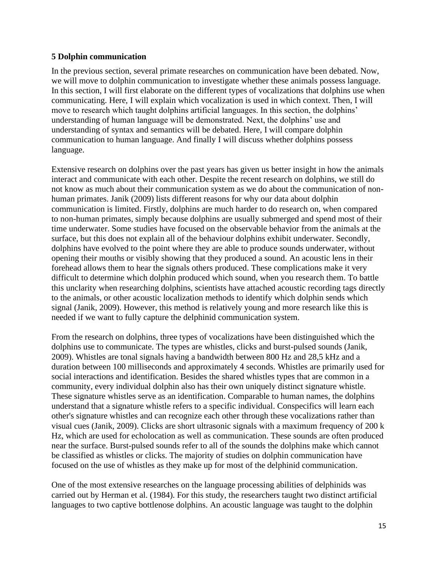# **5 Dolphin communication**

In the previous section, several primate researches on communication have been debated. Now, we will move to dolphin communication to investigate whether these animals possess language. In this section, I will first elaborate on the different types of vocalizations that dolphins use when communicating. Here, I will explain which vocalization is used in which context. Then, I will move to research which taught dolphins artificial languages. In this section, the dolphins' understanding of human language will be demonstrated. Next, the dolphins' use and understanding of syntax and semantics will be debated. Here, I will compare dolphin communication to human language. And finally I will discuss whether dolphins possess language.

Extensive research on dolphins over the past years has given us better insight in how the animals interact and communicate with each other. Despite the recent research on dolphins, we still do not know as much about their communication system as we do about the communication of nonhuman primates. Janik (2009) lists different reasons for why our data about dolphin communication is limited. Firstly, dolphins are much harder to do research on, when compared to non-human primates, simply because dolphins are usually submerged and spend most of their time underwater. Some studies have focused on the observable behavior from the animals at the surface, but this does not explain all of the behaviour dolphins exhibit underwater. Secondly, dolphins have evolved to the point where they are able to produce sounds underwater, without opening their mouths or visibly showing that they produced a sound. An acoustic lens in their forehead allows them to hear the signals others produced. These complications make it very difficult to determine which dolphin produced which sound, when you research them. To battle this unclarity when researching dolphins, scientists have attached acoustic recording tags directly to the animals, or other acoustic localization methods to identify which dolphin sends which signal (Janik, 2009). However, this method is relatively young and more research like this is needed if we want to fully capture the delphinid communication system.

From the research on dolphins, three types of vocalizations have been distinguished which the dolphins use to communicate. The types are whistles, clicks and burst-pulsed sounds (Janik, 2009). Whistles are tonal signals having a bandwidth between 800 Hz and 28,5 kHz and a duration between 100 milliseconds and approximately 4 seconds. Whistles are primarily used for social interactions and identification. Besides the shared whistles types that are common in a community, every individual dolphin also has their own uniquely distinct signature whistle. These signature whistles serve as an identification. Comparable to human names, the dolphins understand that a signature whistle refers to a specific individual. Conspecifics will learn each other's signature whistles and can recognize each other through these vocalizations rather than visual cues (Janik, 2009). Clicks are short ultrasonic signals with a maximum frequency of 200 k Hz, which are used for echolocation as well as communication. These sounds are often produced near the surface. Burst-pulsed sounds refer to all of the sounds the dolphins make which cannot be classified as whistles or clicks. The majority of studies on dolphin communication have focused on the use of whistles as they make up for most of the delphinid communication.

One of the most extensive researches on the language processing abilities of delphinids was carried out by Herman et al. (1984). For this study, the researchers taught two distinct artificial languages to two captive bottlenose dolphins. An acoustic language was taught to the dolphin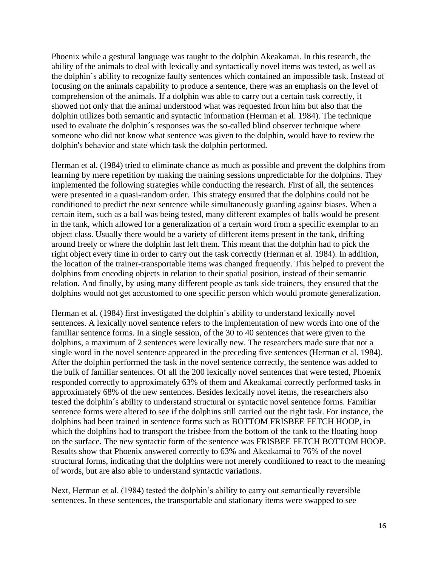Phoenix while a gestural language was taught to the dolphin Akeakamai. In this research, the ability of the animals to deal with lexically and syntactically novel items was tested, as well as the dolphin´s ability to recognize faulty sentences which contained an impossible task. Instead of focusing on the animals capability to produce a sentence, there was an emphasis on the level of comprehension of the animals. If a dolphin was able to carry out a certain task correctly, it showed not only that the animal understood what was requested from him but also that the dolphin utilizes both semantic and syntactic information (Herman et al. 1984). The technique used to evaluate the dolphin´s responses was the so-called blind observer technique where someone who did not know what sentence was given to the dolphin, would have to review the dolphin's behavior and state which task the dolphin performed.

Herman et al. (1984) tried to eliminate chance as much as possible and prevent the dolphins from learning by mere repetition by making the training sessions unpredictable for the dolphins. They implemented the following strategies while conducting the research. First of all, the sentences were presented in a quasi-random order. This strategy ensured that the dolphins could not be conditioned to predict the next sentence while simultaneously guarding against biases. When a certain item, such as a ball was being tested, many different examples of balls would be present in the tank, which allowed for a generalization of a certain word from a specific exemplar to an object class. Usually there would be a variety of different items present in the tank, drifting around freely or where the dolphin last left them. This meant that the dolphin had to pick the right object every time in order to carry out the task correctly (Herman et al. 1984). In addition, the location of the trainer-transportable items was changed frequently. This helped to prevent the dolphins from encoding objects in relation to their spatial position, instead of their semantic relation. And finally, by using many different people as tank side trainers, they ensured that the dolphins would not get accustomed to one specific person which would promote generalization.

Herman et al. (1984) first investigated the dolphin´s ability to understand lexically novel sentences. A lexically novel sentence refers to the implementation of new words into one of the familiar sentence forms. In a single session, of the 30 to 40 sentences that were given to the dolphins, a maximum of 2 sentences were lexically new. The researchers made sure that not a single word in the novel sentence appeared in the preceding five sentences (Herman et al. 1984). After the dolphin performed the task in the novel sentence correctly, the sentence was added to the bulk of familiar sentences. Of all the 200 lexically novel sentences that were tested, Phoenix responded correctly to approximately 63% of them and Akeakamai correctly performed tasks in approximately 68% of the new sentences. Besides lexically novel items, the researchers also tested the dolphin´s ability to understand structural or syntactic novel sentence forms. Familiar sentence forms were altered to see if the dolphins still carried out the right task. For instance, the dolphins had been trained in sentence forms such as BOTTOM FRISBEE FETCH HOOP, in which the dolphins had to transport the frisbee from the bottom of the tank to the floating hoop on the surface. The new syntactic form of the sentence was FRISBEE FETCH BOTTOM HOOP. Results show that Phoenix answered correctly to 63% and Akeakamai to 76% of the novel structural forms, indicating that the dolphins were not merely conditioned to react to the meaning of words, but are also able to understand syntactic variations.

Next, Herman et al. (1984) tested the dolphin's ability to carry out semantically reversible sentences. In these sentences, the transportable and stationary items were swapped to see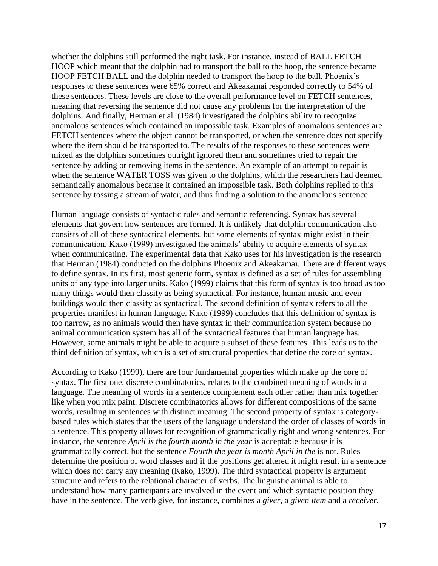whether the dolphins still performed the right task. For instance, instead of BALL FETCH HOOP which meant that the dolphin had to transport the ball to the hoop, the sentence became HOOP FETCH BALL and the dolphin needed to transport the hoop to the ball. Phoenix's responses to these sentences were 65% correct and Akeakamai responded correctly to 54% of these sentences. These levels are close to the overall performance level on FETCH sentences, meaning that reversing the sentence did not cause any problems for the interpretation of the dolphins. And finally, Herman et al. (1984) investigated the dolphins ability to recognize anomalous sentences which contained an impossible task. Examples of anomalous sentences are FETCH sentences where the object cannot be transported, or when the sentence does not specify where the item should be transported to. The results of the responses to these sentences were mixed as the dolphins sometimes outright ignored them and sometimes tried to repair the sentence by adding or removing items in the sentence. An example of an attempt to repair is when the sentence WATER TOSS was given to the dolphins, which the researchers had deemed semantically anomalous because it contained an impossible task. Both dolphins replied to this sentence by tossing a stream of water, and thus finding a solution to the anomalous sentence.

Human language consists of syntactic rules and semantic referencing. Syntax has several elements that govern how sentences are formed. It is unlikely that dolphin communication also consists of all of these syntactical elements, but some elements of syntax might exist in their communication. Kako (1999) investigated the animals' ability to acquire elements of syntax when communicating. The experimental data that Kako uses for his investigation is the research that Herman (1984) conducted on the dolphins Phoenix and Akeakamai. There are different ways to define syntax. In its first, most generic form, syntax is defined as a set of rules for assembling units of any type into larger units. Kako (1999) claims that this form of syntax is too broad as too many things would then classify as being syntactical. For instance, human music and even buildings would then classify as syntactical. The second definition of syntax refers to all the properties manifest in human language. Kako (1999) concludes that this definition of syntax is too narrow, as no animals would then have syntax in their communication system because no animal communication system has all of the syntactical features that human language has. However, some animals might be able to acquire a subset of these features. This leads us to the third definition of syntax, which is a set of structural properties that define the core of syntax.

According to Kako (1999), there are four fundamental properties which make up the core of syntax. The first one, discrete combinatorics, relates to the combined meaning of words in a language. The meaning of words in a sentence complement each other rather than mix together like when you mix paint. Discrete combinatorics allows for different compositions of the same words, resulting in sentences with distinct meaning. The second property of syntax is categorybased rules which states that the users of the language understand the order of classes of words in a sentence. This property allows for recognition of grammatically right and wrong sentences. For instance, the sentence *April is the fourth month in the year* is acceptable because it is grammatically correct, but the sentence *Fourth the year is month April in the* is not. Rules determine the position of word classes and if the positions get altered it might result in a sentence which does not carry any meaning (Kako, 1999). The third syntactical property is argument structure and refers to the relational character of verbs. The linguistic animal is able to understand how many participants are involved in the event and which syntactic position they have in the sentence. The verb give, for instance, combines a *giver*, a *given item* and a *receiver.*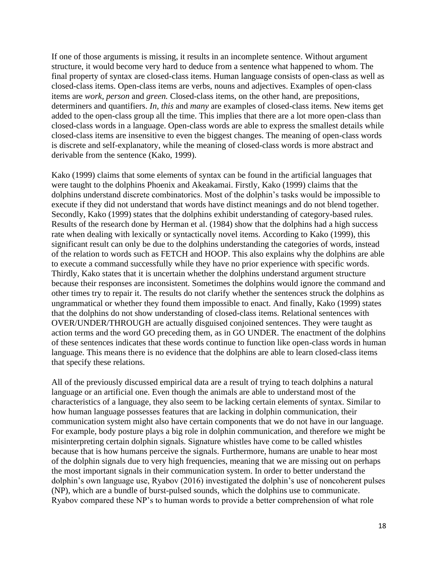If one of those arguments is missing, it results in an incomplete sentence. Without argument structure, it would become very hard to deduce from a sentence what happened to whom. The final property of syntax are closed-class items. Human language consists of open-class as well as closed-class items. Open-class items are verbs, nouns and adjectives. Examples of open-class items are *work, person* and *green.* Closed-class items, on the other hand, are prepositions, determiners and quantifiers. *In, this* and *many* are examples of closed-class items. New items get added to the open-class group all the time. This implies that there are a lot more open-class than closed-class words in a language. Open-class words are able to express the smallest details while closed-class items are insensitive to even the biggest changes. The meaning of open-class words is discrete and self-explanatory, while the meaning of closed-class words is more abstract and derivable from the sentence (Kako, 1999).

Kako (1999) claims that some elements of syntax can be found in the artificial languages that were taught to the dolphins Phoenix and Akeakamai. Firstly, Kako (1999) claims that the dolphins understand discrete combinatorics. Most of the dolphin's tasks would be impossible to execute if they did not understand that words have distinct meanings and do not blend together. Secondly, Kako (1999) states that the dolphins exhibit understanding of category-based rules. Results of the research done by Herman et al. (1984) show that the dolphins had a high success rate when dealing with lexically or syntactically novel items. According to Kako (1999), this significant result can only be due to the dolphins understanding the categories of words, instead of the relation to words such as FETCH and HOOP. This also explains why the dolphins are able to execute a command successfully while they have no prior experience with specific words. Thirdly, Kako states that it is uncertain whether the dolphins understand argument structure because their responses are inconsistent. Sometimes the dolphins would ignore the command and other times try to repair it. The results do not clarify whether the sentences struck the dolphins as ungrammatical or whether they found them impossible to enact. And finally, Kako (1999) states that the dolphins do not show understanding of closed-class items. Relational sentences with OVER/UNDER/THROUGH are actually disguised conjoined sentences. They were taught as action terms and the word GO preceding them, as in GO UNDER. The enactment of the dolphins of these sentences indicates that these words continue to function like open-class words in human language. This means there is no evidence that the dolphins are able to learn closed-class items that specify these relations.

All of the previously discussed empirical data are a result of trying to teach dolphins a natural language or an artificial one. Even though the animals are able to understand most of the characteristics of a language, they also seem to be lacking certain elements of syntax. Similar to how human language possesses features that are lacking in dolphin communication, their communication system might also have certain components that we do not have in our language. For example, body posture plays a big role in dolphin communication, and therefore we might be misinterpreting certain dolphin signals. Signature whistles have come to be called whistles because that is how humans perceive the signals. Furthermore, humans are unable to hear most of the dolphin signals due to very high frequencies, meaning that we are missing out on perhaps the most important signals in their communication system. In order to better understand the dolphin's own language use, Ryabov (2016) investigated the dolphin's use of noncoherent pulses (NP), which are a bundle of burst-pulsed sounds, which the dolphins use to communicate. Ryabov compared these NP's to human words to provide a better comprehension of what role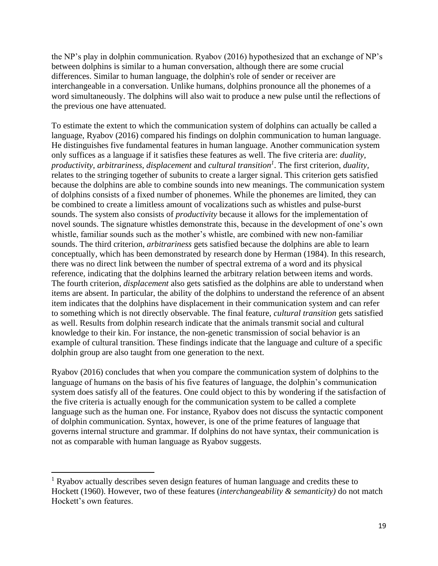the NP's play in dolphin communication. Ryabov (2016) hypothesized that an exchange of NP's between dolphins is similar to a human conversation, although there are some crucial differences. Similar to human language, the dolphin's role of sender or receiver are interchangeable in a conversation. Unlike humans, dolphins pronounce all the phonemes of a word simultaneously. The dolphins will also wait to produce a new pulse until the reflections of the previous one have attenuated.

To estimate the extent to which the communication system of dolphins can actually be called a language, Ryabov (2016) compared his findings on dolphin communication to human language. He distinguishes five fundamental features in human language. Another communication system only suffices as a language if it satisfies these features as well. The five criteria are: *duality, productivity, arbitrariness, displacement* and *cultural transition<sup>1</sup>* . The first criterion*, duality,*  relates to the stringing together of subunits to create a larger signal. This criterion gets satisfied because the dolphins are able to combine sounds into new meanings. The communication system of dolphins consists of a fixed number of phonemes. While the phonemes are limited, they can be combined to create a limitless amount of vocalizations such as whistles and pulse-burst sounds. The system also consists of *productivity* because it allows for the implementation of novel sounds. The signature whistles demonstrate this, because in the development of one's own whistle, familiar sounds such as the mother's whistle, are combined with new non-familiar sounds. The third criterion, *arbitrariness* gets satisfied because the dolphins are able to learn conceptually, which has been demonstrated by research done by Herman (1984). In this research, there was no direct link between the number of spectral extrema of a word and its physical reference, indicating that the dolphins learned the arbitrary relation between items and words. The fourth criterion, *displacement* also gets satisfied as the dolphins are able to understand when items are absent. In particular, the ability of the dolphins to understand the reference of an absent item indicates that the dolphins have displacement in their communication system and can refer to something which is not directly observable. The final feature, *cultural transition* gets satisfied as well. Results from dolphin research indicate that the animals transmit social and cultural knowledge to their kin. For instance, the non-genetic transmission of social behavior is an example of cultural transition. These findings indicate that the language and culture of a specific dolphin group are also taught from one generation to the next.

Ryabov (2016) concludes that when you compare the communication system of dolphins to the language of humans on the basis of his five features of language, the dolphin's communication system does satisfy all of the features. One could object to this by wondering if the satisfaction of the five criteria is actually enough for the communication system to be called a complete language such as the human one. For instance, Ryabov does not discuss the syntactic component of dolphin communication. Syntax, however, is one of the prime features of language that governs internal structure and grammar. If dolphins do not have syntax, their communication is not as comparable with human language as Ryabov suggests.

<sup>&</sup>lt;sup>1</sup> Ryabov actually describes seven design features of human language and credits these to Hockett (1960). However, two of these features (*interchangeability & semanticity)* do not match Hockett's own features.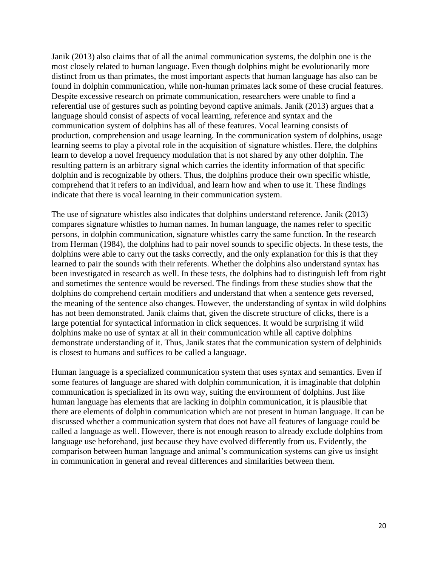Janik (2013) also claims that of all the animal communication systems, the dolphin one is the most closely related to human language. Even though dolphins might be evolutionarily more distinct from us than primates, the most important aspects that human language has also can be found in dolphin communication, while non-human primates lack some of these crucial features. Despite excessive research on primate communication, researchers were unable to find a referential use of gestures such as pointing beyond captive animals. Janik (2013) argues that a language should consist of aspects of vocal learning, reference and syntax and the communication system of dolphins has all of these features. Vocal learning consists of production, comprehension and usage learning. In the communication system of dolphins, usage learning seems to play a pivotal role in the acquisition of signature whistles. Here, the dolphins learn to develop a novel frequency modulation that is not shared by any other dolphin. The resulting pattern is an arbitrary signal which carries the identity information of that specific dolphin and is recognizable by others. Thus, the dolphins produce their own specific whistle, comprehend that it refers to an individual, and learn how and when to use it. These findings indicate that there is vocal learning in their communication system.

The use of signature whistles also indicates that dolphins understand reference. Janik (2013) compares signature whistles to human names. In human language, the names refer to specific persons, in dolphin communication, signature whistles carry the same function. In the research from Herman (1984), the dolphins had to pair novel sounds to specific objects. In these tests, the dolphins were able to carry out the tasks correctly, and the only explanation for this is that they learned to pair the sounds with their referents. Whether the dolphins also understand syntax has been investigated in research as well. In these tests, the dolphins had to distinguish left from right and sometimes the sentence would be reversed. The findings from these studies show that the dolphins do comprehend certain modifiers and understand that when a sentence gets reversed, the meaning of the sentence also changes. However, the understanding of syntax in wild dolphins has not been demonstrated. Janik claims that, given the discrete structure of clicks, there is a large potential for syntactical information in click sequences. It would be surprising if wild dolphins make no use of syntax at all in their communication while all captive dolphins demonstrate understanding of it. Thus, Janik states that the communication system of delphinids is closest to humans and suffices to be called a language.

Human language is a specialized communication system that uses syntax and semantics. Even if some features of language are shared with dolphin communication, it is imaginable that dolphin communication is specialized in its own way, suiting the environment of dolphins. Just like human language has elements that are lacking in dolphin communication, it is plausible that there are elements of dolphin communication which are not present in human language. It can be discussed whether a communication system that does not have all features of language could be called a language as well. However, there is not enough reason to already exclude dolphins from language use beforehand, just because they have evolved differently from us. Evidently, the comparison between human language and animal's communication systems can give us insight in communication in general and reveal differences and similarities between them.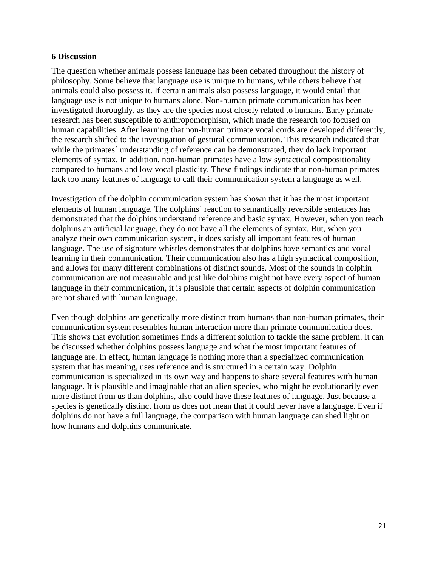### **6 Discussion**

The question whether animals possess language has been debated throughout the history of philosophy. Some believe that language use is unique to humans, while others believe that animals could also possess it. If certain animals also possess language, it would entail that language use is not unique to humans alone. Non-human primate communication has been investigated thoroughly, as they are the species most closely related to humans. Early primate research has been susceptible to anthropomorphism, which made the research too focused on human capabilities. After learning that non-human primate vocal cords are developed differently, the research shifted to the investigation of gestural communication. This research indicated that while the primates' understanding of reference can be demonstrated, they do lack important elements of syntax. In addition, non-human primates have a low syntactical compositionality compared to humans and low vocal plasticity. These findings indicate that non-human primates lack too many features of language to call their communication system a language as well.

Investigation of the dolphin communication system has shown that it has the most important elements of human language. The dolphins´ reaction to semantically reversible sentences has demonstrated that the dolphins understand reference and basic syntax. However, when you teach dolphins an artificial language, they do not have all the elements of syntax. But, when you analyze their own communication system, it does satisfy all important features of human language. The use of signature whistles demonstrates that dolphins have semantics and vocal learning in their communication. Their communication also has a high syntactical composition, and allows for many different combinations of distinct sounds. Most of the sounds in dolphin communication are not measurable and just like dolphins might not have every aspect of human language in their communication, it is plausible that certain aspects of dolphin communication are not shared with human language.

Even though dolphins are genetically more distinct from humans than non-human primates, their communication system resembles human interaction more than primate communication does. This shows that evolution sometimes finds a different solution to tackle the same problem. It can be discussed whether dolphins possess language and what the most important features of language are. In effect, human language is nothing more than a specialized communication system that has meaning, uses reference and is structured in a certain way. Dolphin communication is specialized in its own way and happens to share several features with human language. It is plausible and imaginable that an alien species, who might be evolutionarily even more distinct from us than dolphins, also could have these features of language. Just because a species is genetically distinct from us does not mean that it could never have a language. Even if dolphins do not have a full language, the comparison with human language can shed light on how humans and dolphins communicate.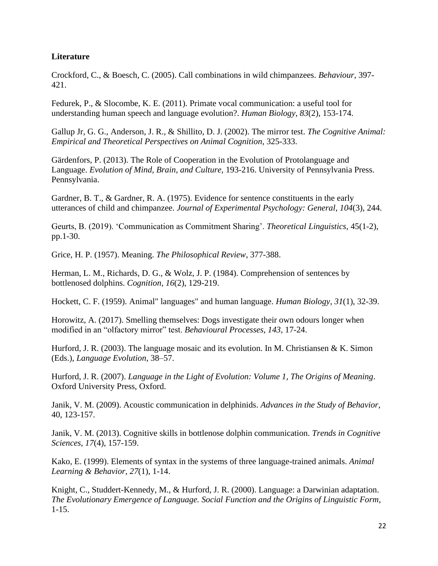# **Literature**

Crockford, C., & Boesch, C. (2005). Call combinations in wild chimpanzees. *Behaviour*, 397- 421.

Fedurek, P., & Slocombe, K. E. (2011). Primate vocal communication: a useful tool for understanding human speech and language evolution?. *Human Biology*, *83*(2), 153-174.

Gallup Jr, G. G., Anderson, J. R., & Shillito, D. J. (2002). The mirror test. *The Cognitive Animal: Empirical and Theoretical Perspectives on Animal Cognition*, 325-333.

Gärdenfors, P. (2013). The Role of Cooperation in the Evolution of Protolanguage and Language. *Evolution of Mind, Brain, and Culture,* 193-216. University of Pennsylvania Press. Pennsylvania.

Gardner, B. T., & Gardner, R. A. (1975). Evidence for sentence constituents in the early utterances of child and chimpanzee. *Journal of Experimental Psychology: General*, *104*(3), 244.

Geurts, B. (2019). 'Communication as Commitment Sharing'. *Theoretical Linguistics*, 45(1-2), pp.1-30.

Grice, H. P. (1957). Meaning. *The Philosophical Review*, 377-388.

Herman, L. M., Richards, D. G., & Wolz, J. P. (1984). Comprehension of sentences by bottlenosed dolphins. *Cognition*, *16*(2), 129-219.

Hockett, C. F. (1959). Animal" languages" and human language. *Human Biology*, *31*(1), 32-39.

Horowitz, A. (2017). Smelling themselves: Dogs investigate their own odours longer when modified in an "olfactory mirror" test. *Behavioural Processes*, *143*, 17-24.

Hurford, J. R. (2003). The language mosaic and its evolution. In M. Christiansen & K. Simon (Eds.), *Language Evolution*, 38–57.

Hurford, J. R. (2007). *Language in the Light of Evolution: Volume 1, The Origins of Meaning*. Oxford University Press, Oxford.

Janik, V. M. (2009). Acoustic communication in delphinids. *Advances in the Study of Behavior*, 40, 123-157.

Janik, V. M. (2013). Cognitive skills in bottlenose dolphin communication. *Trends in Cognitive Sciences*, *17*(4), 157-159.

Kako, E. (1999). Elements of syntax in the systems of three language-trained animals. *Animal Learning & Behavior*, *27*(1), 1-14.

Knight, C., Studdert-Kennedy, M., & Hurford, J. R. (2000). Language: a Darwinian adaptation. *The Evolutionary Emergence of Language. Social Function and the Origins of Linguistic Form*, 1-15.